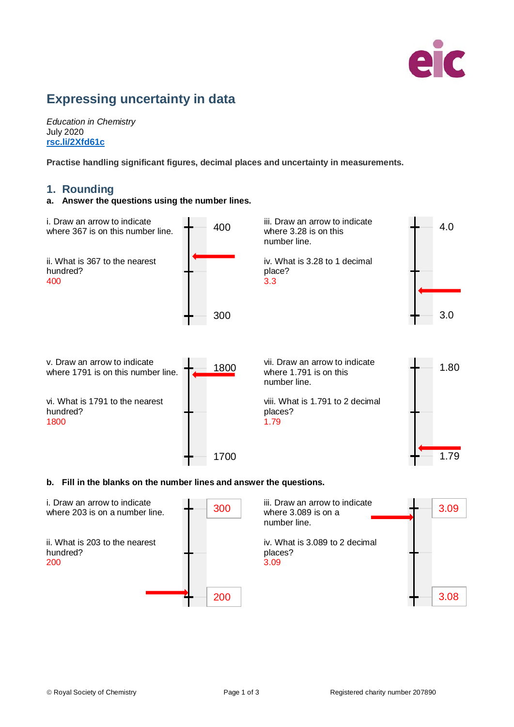

# **Expressing uncertainty in data**

*Education in Chemistry* July 2020 **[rsc.li/2Xfd61c](https://rsc.li/2Xfd61c)**

**Practise handling significant figures, decimal places and uncertainty in measurements.**

## **1. Rounding**

#### **a. Answer the questions using the number lines.**



### **b. Fill in the blanks on the number lines and answer the questions.**

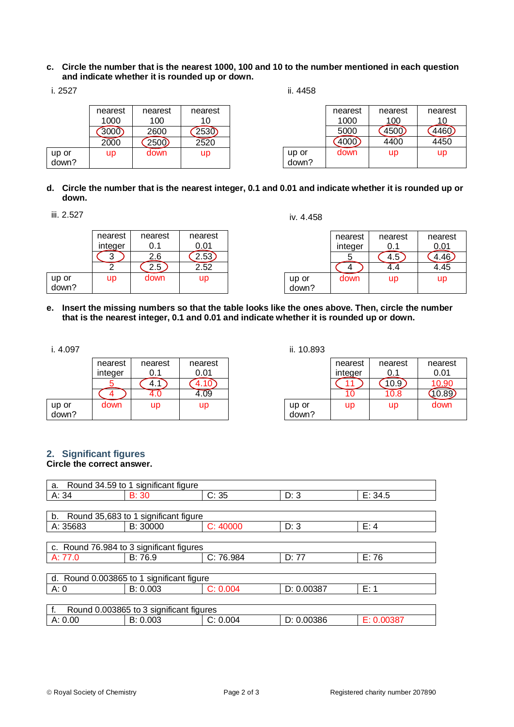**c. Circle the number that is the nearest 1000, 100 and 10 to the number mentioned in each question and indicate whether it is rounded up or down.**

| ٧ |
|---|
|   |

up or down? nearest 1000

 $(3000)$ 

| nearest | nearest |  |
|---------|---------|--|

 $\frac{10}{2530}$ 

 $\frac{100}{2600}$ 

2000 2500 2520

up down up

ii. 4458

| nearest | nearest          | nearest |
|---------|------------------|---------|
| 1000    | 100              | 10      |
| 5000    | .50 <sub>0</sub> |         |
| 4000    | 4400             | 4450    |
| down    | <b>up</b>        | up      |
|         |                  |         |

**d. Circle the number that is the nearest integer, 0.1 and 0.01 and indicate whether it is rounded up or down.**

iii. 2.527

iv. 4.458

|                | nearest | nearest | nearest |  |
|----------------|---------|---------|---------|--|
|                | integer | 0.1     | 0.01    |  |
|                |         | 2.6     | 2.53    |  |
|                |         | 2.5     | 2.52    |  |
| up or<br>down? | up      | down    | up      |  |
|                |         |         |         |  |

|                | nearest | nearest   | nearest |
|----------------|---------|-----------|---------|
|                | integer | 0.1       | 0.01    |
|                |         | F.O       |         |
|                |         |           | 4.45    |
| up or<br>down? | down    | <b>up</b> | up      |

**e. Insert the missing numbers so that the table looks like the ones above. Then, circle the number that is the nearest integer, 0.1 and 0.01 and indicate whether it is rounded up or down.**

i. 4.097

|                | nearest<br>integer | nearest<br>በ 1 | nearest<br>0.01 |
|----------------|--------------------|----------------|-----------------|
|                |                    | 4.             |                 |
|                |                    |                |                 |
| up or<br>down? | down               | up             | up              |

ii. 10.893

|                | nearest<br>integer | nearest   | nearest<br>0.01 |
|----------------|--------------------|-----------|-----------------|
|                |                    |           | 10.90           |
|                |                    | 10.8      |                 |
| up or<br>down? | up                 | <b>up</b> | down            |

#### **2. Significant figures Circle the correct answer.**

| Round 34.59 to 1 significant figure<br>a. |                                          |           |            |            |  |
|-------------------------------------------|------------------------------------------|-----------|------------|------------|--|
| A: 34                                     | B: 30                                    | C: 35     | D: 3       | E: 34.5    |  |
|                                           |                                          |           |            |            |  |
| b.                                        | Round 35,683 to 1 significant figure     |           |            |            |  |
| A: 35683                                  | B: 30000                                 | C: 40000  | D: 3       | E: 4       |  |
|                                           |                                          |           |            |            |  |
|                                           | c. Round 76.984 to 3 significant figures |           |            |            |  |
| A: 77.0                                   | B: 76.9                                  | C: 76.984 | D: 77      | E: 76      |  |
|                                           |                                          |           |            |            |  |
| d. Round 0.003865 to 1 significant figure |                                          |           |            |            |  |
| A:0                                       | B: 0.003                                 | C: 0.004  | D: 0.00387 | E: 1       |  |
|                                           |                                          |           |            |            |  |
| Round 0.003865 to 3 significant figures   |                                          |           |            |            |  |
| A: 0.00                                   | B: 0.003                                 | C: 0.004  | D: 0.00386 | E: 0.00387 |  |